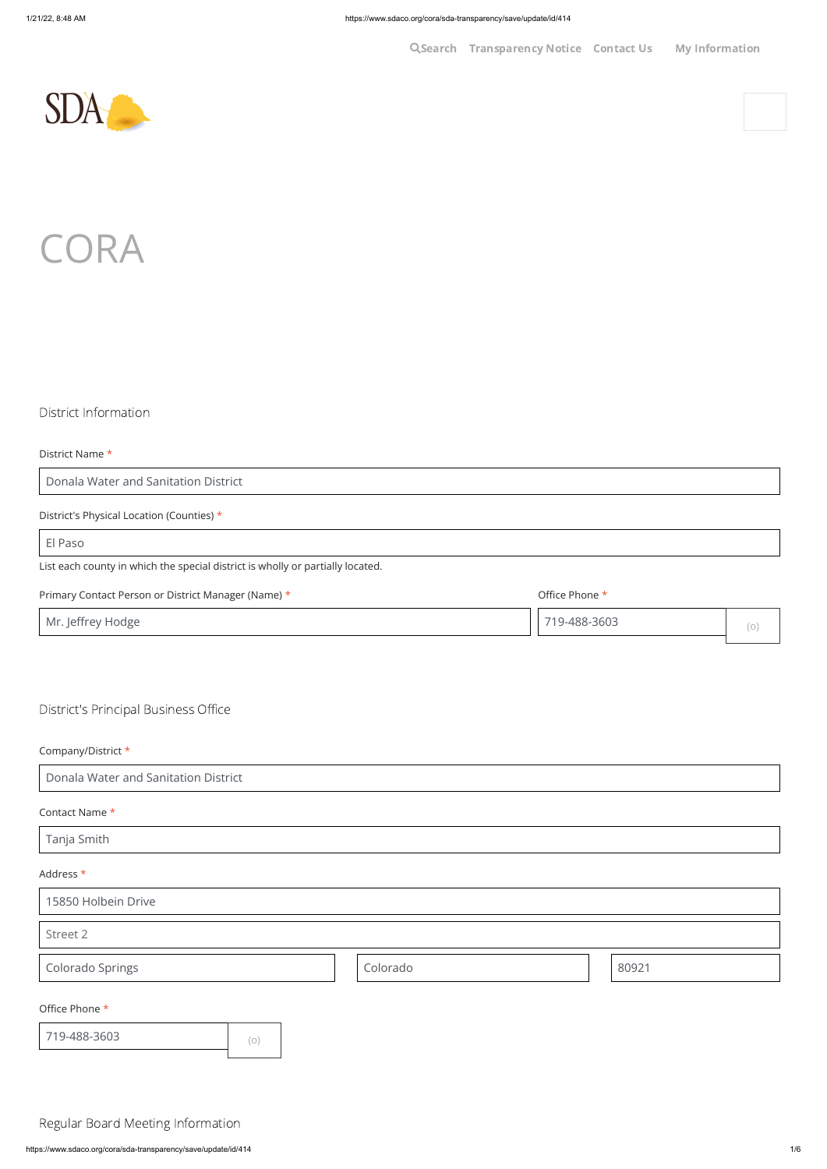**Q[Search](javascript: void($j() [Transparency](https://www.sdaco.org/cora) Notice [Contact](https://www.sdaco.org/contact-us) Us My Information** 





## District Information

District Name \*

Donala Water and Sanitation District

District's Physical Location (Counties) \*

El Paso

List each county in which the special district is wholly or partially located.

#### Primary Contact Person or District Manager (Name) \*

Office Phone \*

719-488-3603

District's Principal Business Office

### Company/District \*

Donala Water and Sanitation District

## Contact Name \*

Tanja Smith

| 15850 Holbein Drive |     |          |  |       |  |  |
|---------------------|-----|----------|--|-------|--|--|
| Street 2            |     |          |  |       |  |  |
| Colorado Springs    |     | Colorado |  | 80921 |  |  |
| Office Phone *      |     |          |  |       |  |  |
| 719-488-3603        | (0) |          |  |       |  |  |

Regular Board Meeting Information

(o)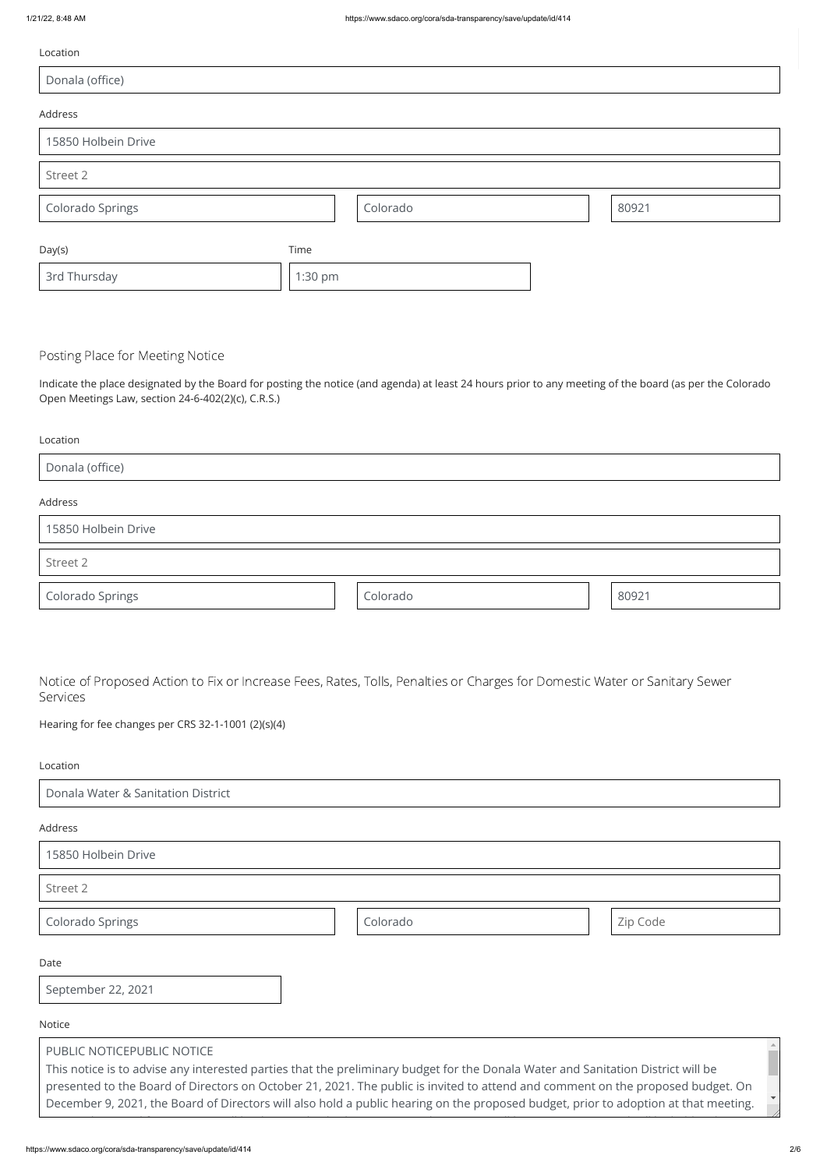| Location            |         |          |       |
|---------------------|---------|----------|-------|
| Donala (office)     |         |          |       |
| Address             |         |          |       |
| 15850 Holbein Drive |         |          |       |
| Street 2            |         |          |       |
| Colorado Springs    |         | Colorado | 80921 |
| Day(s)              | Time    |          |       |
| 3rd Thursday        | 1:30 pm |          |       |

## Posting Place for Meeting Notice

Indicate the place designated by the Board for posting the notice (and agenda) at least 24 hours prior to any meeting of the board (as per the Colorado Open Meetings Law, section 24-6-402(2)(c), C.R.S.)

| Location |  |
|----------|--|

| Donala (office)     |  |
|---------------------|--|
| Address             |  |
| 15850 Holbein Drive |  |
| Street 2            |  |

Notice of Proposed Action to Fix or Increase Fees, Rates, Tolls, Penalties or Charges for Domestic Water or Sanitary Sewer Services

Colorado Springs and Colorado **Colorado Colorado** (1992)

Hearing for fee changes per CRS 32-1-1001 (2)(s)(4)

#### Location

Donala Water & Sanitation District

Address

15850 Holbein Drive

Street 2

| Colorado Springs |  | Colorado |  | Zip Code |  |  |
|------------------|--|----------|--|----------|--|--|
|------------------|--|----------|--|----------|--|--|

Date

September 22, 2021

Notice

# PUBLIC NOTICEPUBLIC NOTICE This notice is to advise any interested parties that the preliminary budget for the Donala Water and Sanitation District will be presented to the Board of Directors on October 21, 2021. The public is invited to attend and comment on the proposed budget. On December 9, 2021, the Board of Directors will also hold a public hearing on the proposed budget, prior to adoption at that meeting.

l d f ll b d d b d d b d d b d d b d d b d d b d b d b d b d b d b d b d b d b d b d b d b d b d b d b d b d b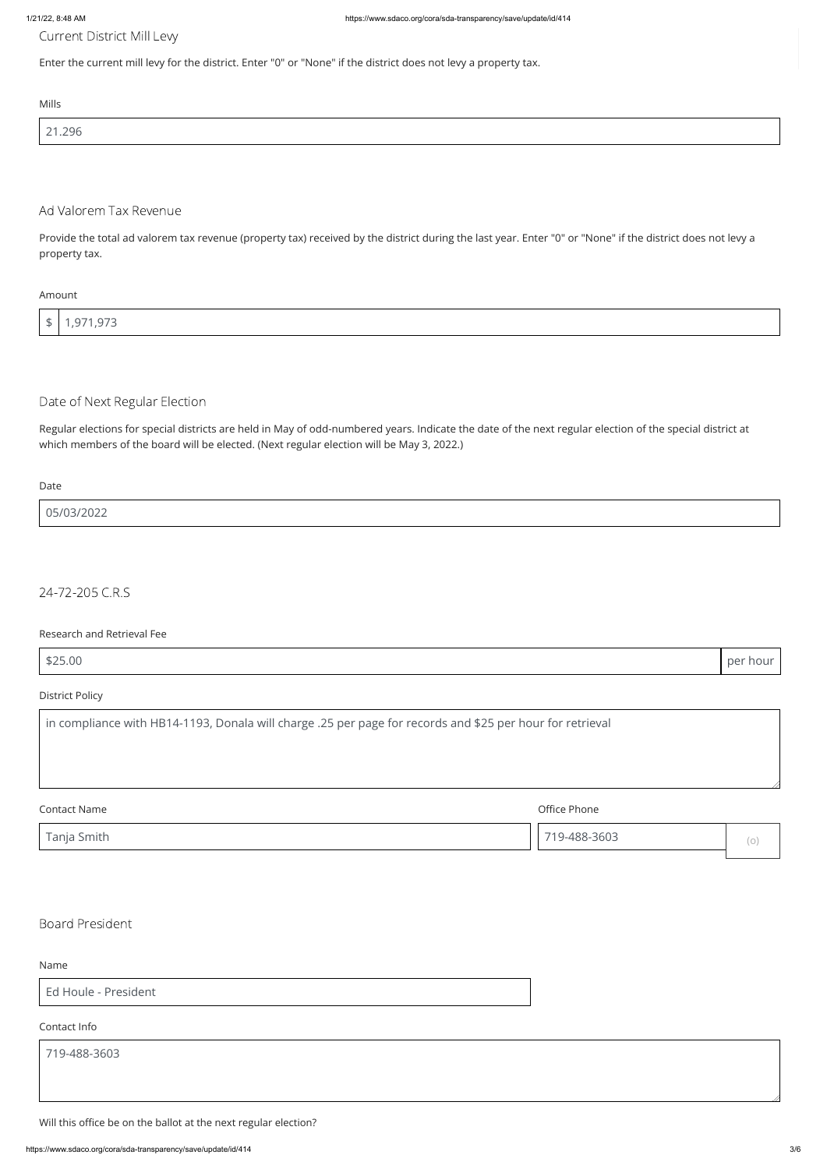Current District Mill Levy

Enter the current mill levy for the district. Enter "0" or "None" if the district does not levy a property tax.

Mills

| 21.296 |  |
|--------|--|
|        |  |
|        |  |

## Ad Valorem Tax Revenue

Provide the total ad valorem tax revenue (property tax) received by the district during the last year. Enter "0" or "None" if the district does not levy a property tax.

#### Amount

| ┶<br>- 14 | 1,971,973 |
|-----------|-----------|

## Date of Next Regular Election

Regular elections for special districts are held in May of odd-numbered years. Indicate the date of the next regular election of the special district at which members of the board will be elected. (Next regular election will be May 3, 2022.)

Date

05/03/2022

24-72-205 C.R.S

#### Research and Retrieval Fee

\$25.00 per hour

## District Policy

in compliance with HB14-1193, Donala will charge .25 per page for records and \$25 per hour for retrieval Contact Name Office Phone

Tanja Smith

719-488-3603

Name

Ed Houle - President

Contact Info

719-488-3603

Will this office be on the ballot at the next regular election?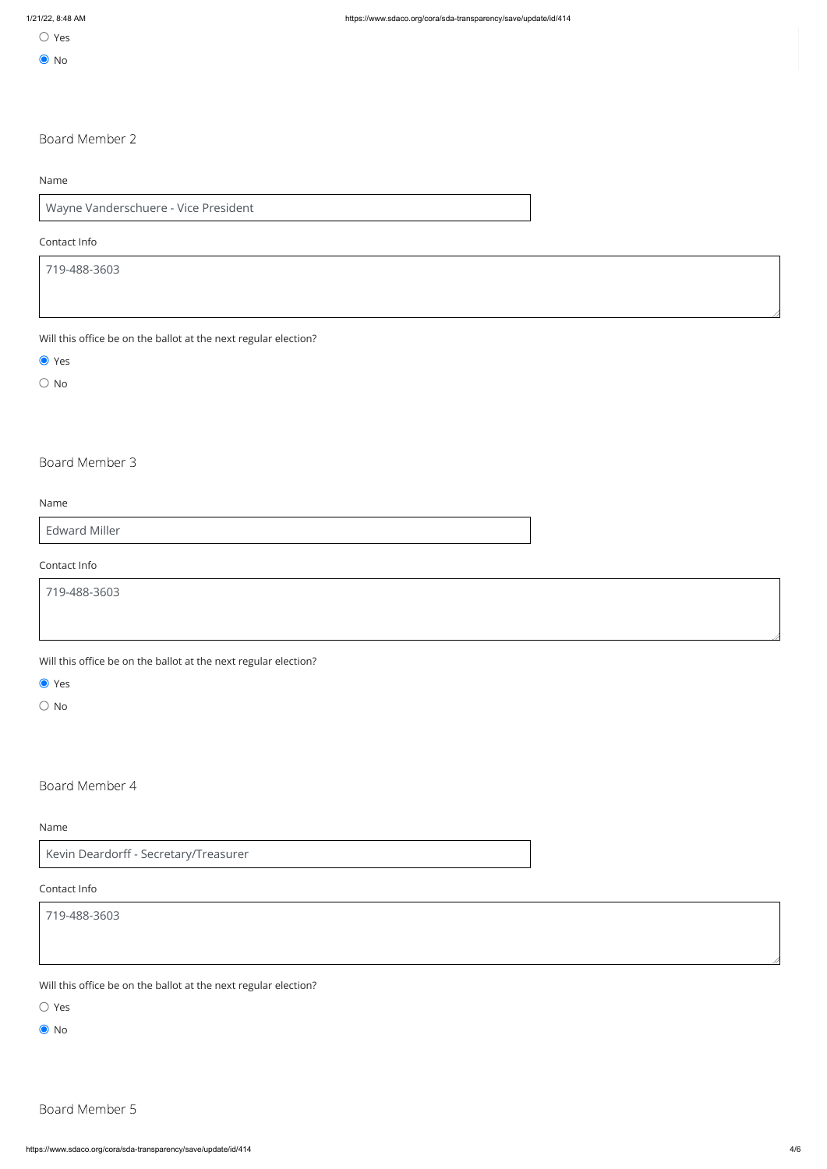O No

## Board Member 2

Name

Wayne Vanderschuere - Vice President

### Contact Info

719-488-3603

Will this office be on the ballot at the next regular election?

● Yes

 $\bigcirc$  No

Board Member 3

Name

Edward Miller

Contact Info

719-488-3603

Will this office be on the ballot at the next regular election?

● Yes

O No

Board Member 4

Name

Kevin Deardorff - Secretary/Treasurer

#### Contact Info

719-488-3603

Will this office be on the ballot at the next regular election?

Yes

O No

## Board Member 5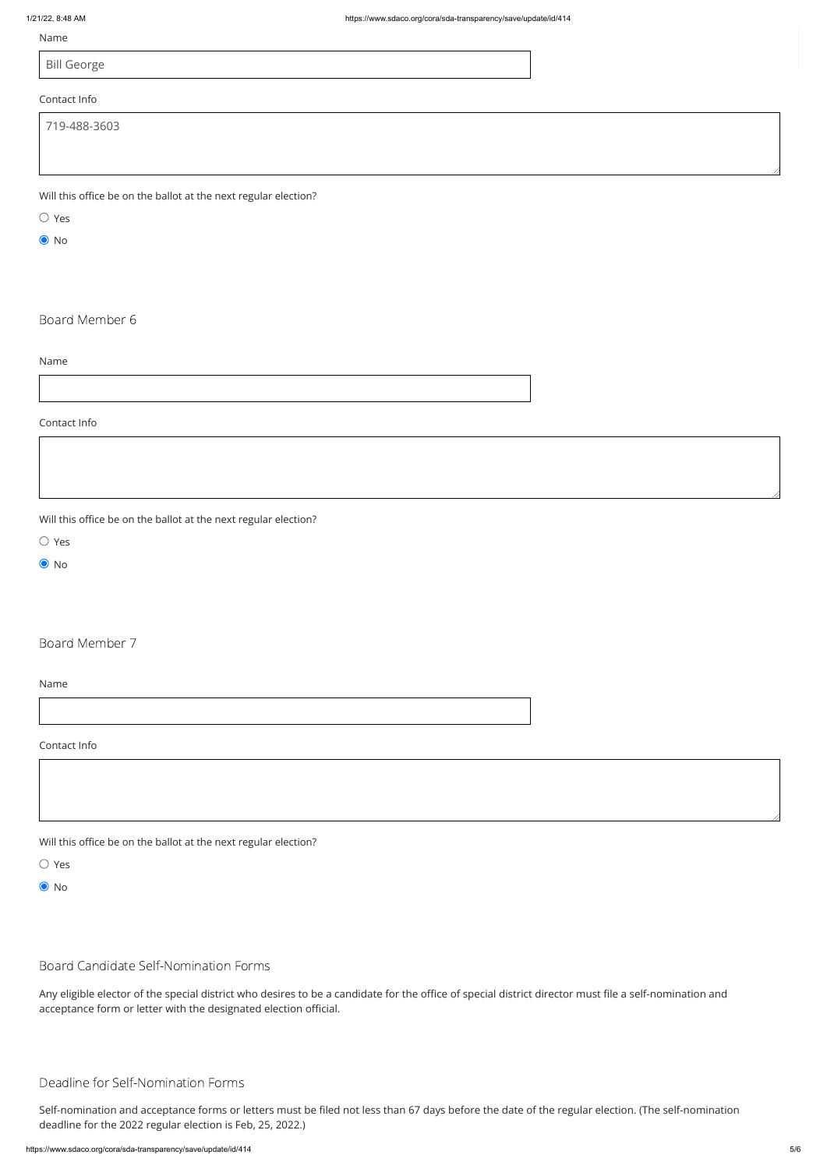#### Name

Bill George

## Contact Info

Will this office be on the ballot at the next regular election?

Yes

**●** No

Board Member 6

Name

Contact Info

Will this office be on the ballot at the next regular election?

Yes

**●** No

Board Member 7

Name

Contact Info

Will this office be on the ballot at the next regular election?

Yes



Board Candidate Self-Nomination Forms

Any eligible elector of the special district who desires to be a candidate for the office of special district director must file a self-nomination and acceptance form or letter with the designated election official.

## Deadline for Self-Nomination Forms

Self-nomination and acceptance forms or letters must be filed not less than 67 days before the date of the regular election. (The self-nomination deadline for the 2022 regular election is Feb, 25, 2022.)